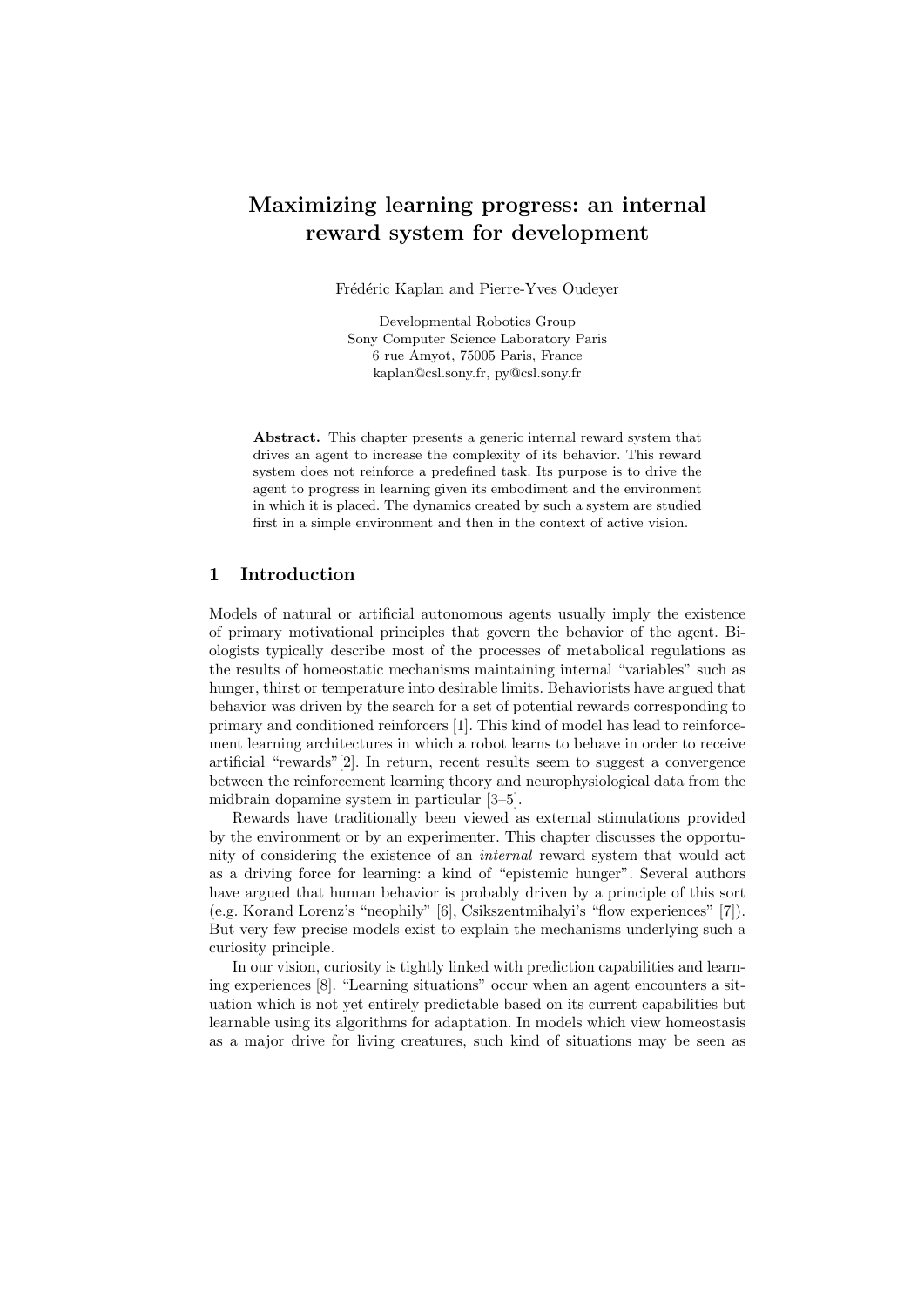# Maximizing learning progress: an internal reward system for development

Frédéric Kaplan and Pierre-Yves Oudeyer

Developmental Robotics Group Sony Computer Science Laboratory Paris 6 rue Amyot, 75005 Paris, France kaplan@csl.sony.fr, py@csl.sony.fr

Abstract. This chapter presents a generic internal reward system that drives an agent to increase the complexity of its behavior. This reward system does not reinforce a predefined task. Its purpose is to drive the agent to progress in learning given its embodiment and the environment in which it is placed. The dynamics created by such a system are studied first in a simple environment and then in the context of active vision.

## 1 Introduction

Models of natural or artificial autonomous agents usually imply the existence of primary motivational principles that govern the behavior of the agent. Biologists typically describe most of the processes of metabolical regulations as the results of homeostatic mechanisms maintaining internal "variables" such as hunger, thirst or temperature into desirable limits. Behaviorists have argued that behavior was driven by the search for a set of potential rewards corresponding to primary and conditioned reinforcers [1]. This kind of model has lead to reinforcement learning architectures in which a robot learns to behave in order to receive artificial "rewards"[2]. In return, recent results seem to suggest a convergence between the reinforcement learning theory and neurophysiological data from the midbrain dopamine system in particular [3–5].

Rewards have traditionally been viewed as external stimulations provided by the environment or by an experimenter. This chapter discusses the opportunity of considering the existence of an *internal* reward system that would act as a driving force for learning: a kind of "epistemic hunger". Several authors have argued that human behavior is probably driven by a principle of this sort (e.g. Korand Lorenz's "neophily" [6], Csikszentmihalyi's "flow experiences" [7]). But very few precise models exist to explain the mechanisms underlying such a curiosity principle.

In our vision, curiosity is tightly linked with prediction capabilities and learning experiences [8]. "Learning situations" occur when an agent encounters a situation which is not yet entirely predictable based on its current capabilities but learnable using its algorithms for adaptation. In models which view homeostasis as a major drive for living creatures, such kind of situations may be seen as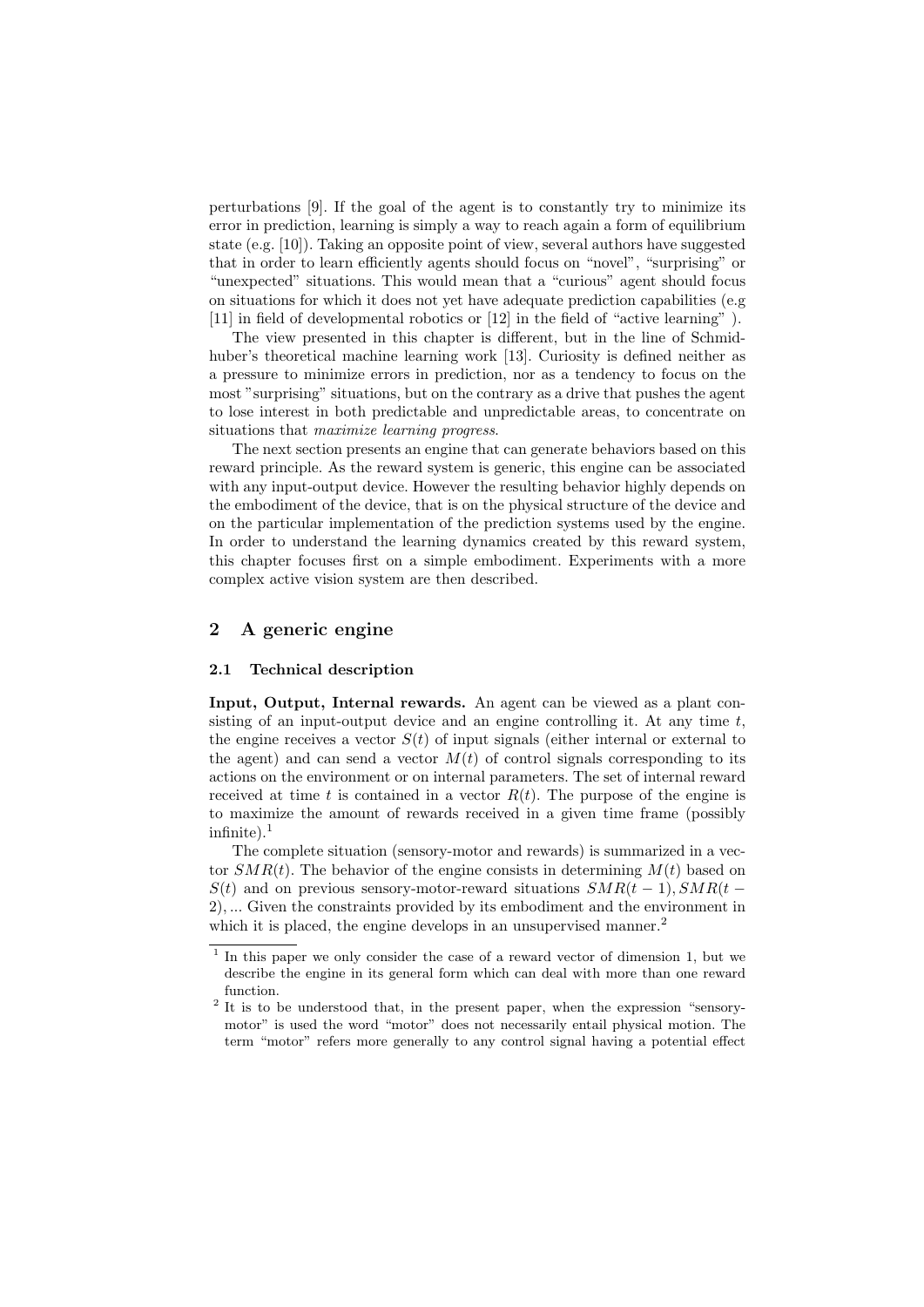perturbations [9]. If the goal of the agent is to constantly try to minimize its error in prediction, learning is simply a way to reach again a form of equilibrium state (e.g. [10]). Taking an opposite point of view, several authors have suggested that in order to learn efficiently agents should focus on "novel", "surprising" or "unexpected" situations. This would mean that a "curious" agent should focus on situations for which it does not yet have adequate prediction capabilities (e.g [11] in field of developmental robotics or [12] in the field of "active learning" ).

The view presented in this chapter is different, but in the line of Schmidhuber's theoretical machine learning work [13]. Curiosity is defined neither as a pressure to minimize errors in prediction, nor as a tendency to focus on the most "surprising" situations, but on the contrary as a drive that pushes the agent to lose interest in both predictable and unpredictable areas, to concentrate on situations that *maximize learning progress*.

The next section presents an engine that can generate behaviors based on this reward principle. As the reward system is generic, this engine can be associated with any input-output device. However the resulting behavior highly depends on the embodiment of the device, that is on the physical structure of the device and on the particular implementation of the prediction systems used by the engine. In order to understand the learning dynamics created by this reward system, this chapter focuses first on a simple embodiment. Experiments with a more complex active vision system are then described.

#### 2 A generic engine

#### 2.1 Technical description

Input, Output, Internal rewards. An agent can be viewed as a plant consisting of an input-output device and an engine controlling it. At any time  $t$ , the engine receives a vector  $S(t)$  of input signals (either internal or external to the agent) and can send a vector  $M(t)$  of control signals corresponding to its actions on the environment or on internal parameters. The set of internal reward received at time t is contained in a vector  $R(t)$ . The purpose of the engine is to maximize the amount of rewards received in a given time frame (possibly infinite).<sup>1</sup>

The complete situation (sensory-motor and rewards) is summarized in a vector  $SMR(t)$ . The behavior of the engine consists in determining  $M(t)$  based on  $S(t)$  and on previous sensory-motor-reward situations  $SMR(t-1), SMR(t-$ 2), ... Given the constraints provided by its embodiment and the environment in which it is placed, the engine develops in an unsupervised manner.<sup>2</sup>

<sup>&</sup>lt;sup>1</sup> In this paper we only consider the case of a reward vector of dimension 1, but we describe the engine in its general form which can deal with more than one reward function.

<sup>&</sup>lt;sup>2</sup> It is to be understood that, in the present paper, when the expression "sensorymotor" is used the word "motor" does not necessarily entail physical motion. The term "motor" refers more generally to any control signal having a potential effect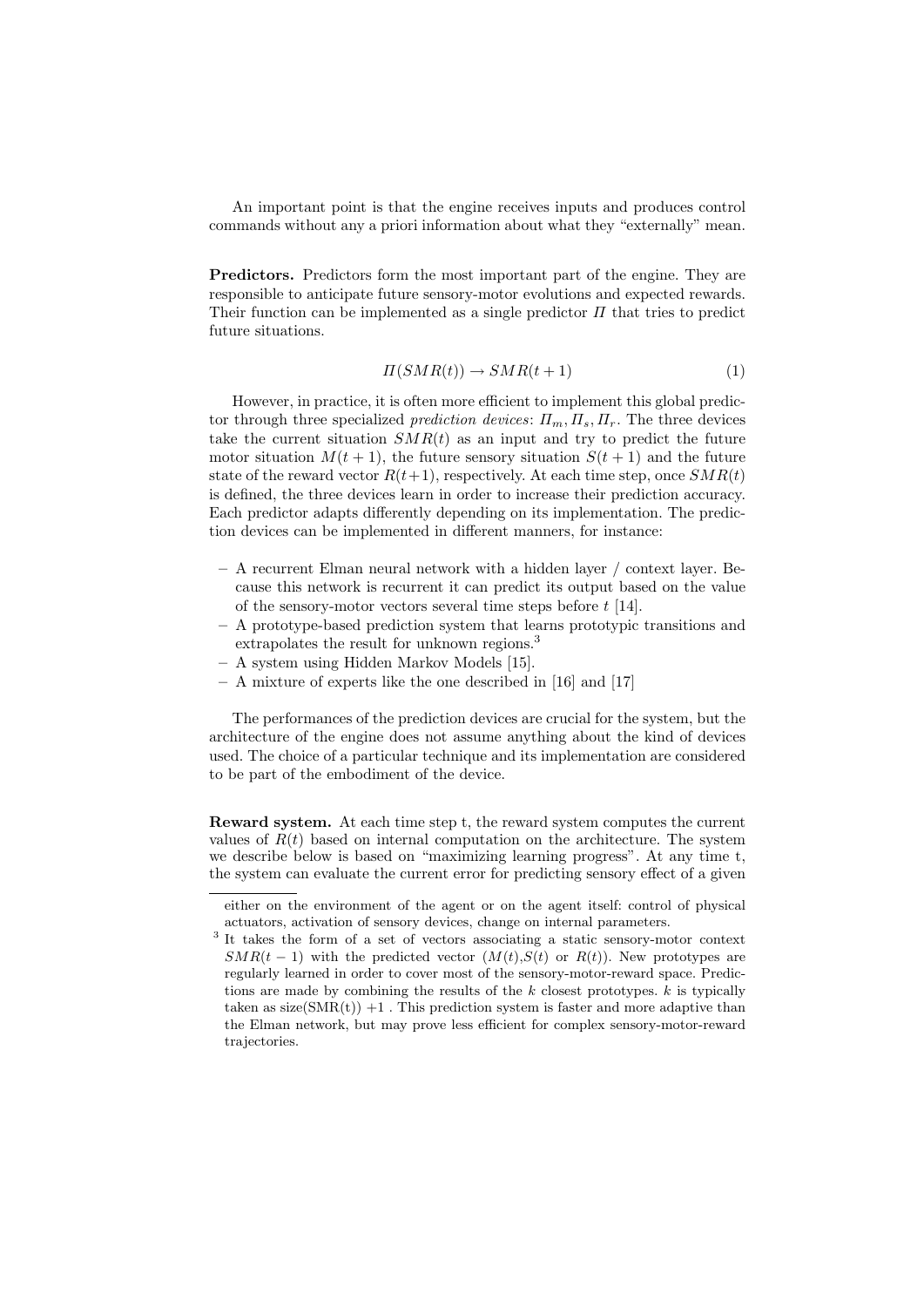An important point is that the engine receives inputs and produces control commands without any a priori information about what they "externally" mean.

Predictors. Predictors form the most important part of the engine. They are responsible to anticipate future sensory-motor evolutions and expected rewards. Their function can be implemented as a single predictor  $\Pi$  that tries to predict future situations.

$$
\Pi(SMR(t)) \to SMR(t+1) \tag{1}
$$

However, in practice, it is often more efficient to implement this global predictor through three specialized *prediction devices*:  $\Pi_m$ ,  $\Pi_s$ ,  $\Pi_r$ . The three devices take the current situation  $SMR(t)$  as an input and try to predict the future motor situation  $M(t + 1)$ , the future sensory situation  $S(t + 1)$  and the future state of the reward vector  $R(t+1)$ , respectively. At each time step, once  $SMR(t)$ is defined, the three devices learn in order to increase their prediction accuracy. Each predictor adapts differently depending on its implementation. The prediction devices can be implemented in different manners, for instance:

- A recurrent Elman neural network with a hidden layer / context layer. Because this network is recurrent it can predict its output based on the value of the sensory-motor vectors several time steps before  $t$  [14].
- A prototype-based prediction system that learns prototypic transitions and extrapolates the result for unknown regions.<sup>3</sup>
- A system using Hidden Markov Models [15].
- A mixture of experts like the one described in [16] and [17]

The performances of the prediction devices are crucial for the system, but the architecture of the engine does not assume anything about the kind of devices used. The choice of a particular technique and its implementation are considered to be part of the embodiment of the device.

Reward system. At each time step t, the reward system computes the current values of  $R(t)$  based on internal computation on the architecture. The system we describe below is based on "maximizing learning progress". At any time t, the system can evaluate the current error for predicting sensory effect of a given

either on the environment of the agent or on the agent itself: control of physical actuators, activation of sensory devices, change on internal parameters.

<sup>3</sup> It takes the form of a set of vectors associating a static sensory-motor context  $SMR(t-1)$  with the predicted vector  $(M(t),S(t))$  or  $R(t)$ ). New prototypes are regularly learned in order to cover most of the sensory-motor-reward space. Predictions are made by combining the results of the  $k$  closest prototypes.  $k$  is typically taken as  $size(SMR(t)) +1$ . This prediction system is faster and more adaptive than the Elman network, but may prove less efficient for complex sensory-motor-reward trajectories.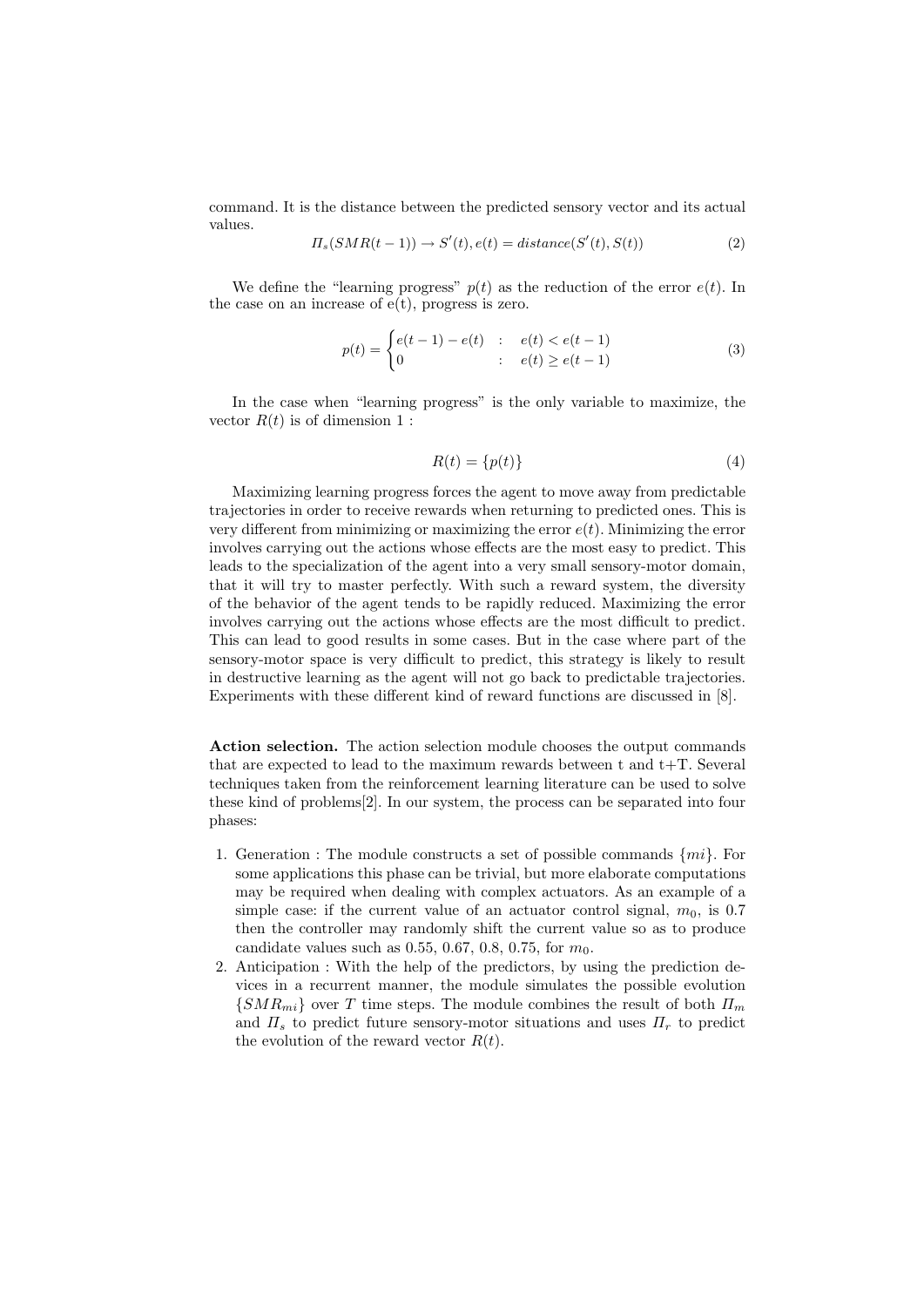command. It is the distance between the predicted sensory vector and its actual values.

$$
\Pi_s(SMR(t-1)) \to S'(t), e(t) = distance(S'(t), S(t))
$$
\n(2)

We define the "learning progress"  $p(t)$  as the reduction of the error  $e(t)$ . In the case on an increase of  $e(t)$ , progress is zero.

$$
p(t) = \begin{cases} e(t-1) - e(t) & :e(t) < e(t-1) \\ 0 & :e(t) \ge e(t-1) \end{cases} \tag{3}
$$

In the case when "learning progress" is the only variable to maximize, the vector  $R(t)$  is of dimension 1 :

$$
R(t) = \{p(t)\}\tag{4}
$$

Maximizing learning progress forces the agent to move away from predictable trajectories in order to receive rewards when returning to predicted ones. This is very different from minimizing or maximizing the error  $e(t)$ . Minimizing the error involves carrying out the actions whose effects are the most easy to predict. This leads to the specialization of the agent into a very small sensory-motor domain, that it will try to master perfectly. With such a reward system, the diversity of the behavior of the agent tends to be rapidly reduced. Maximizing the error involves carrying out the actions whose effects are the most difficult to predict. This can lead to good results in some cases. But in the case where part of the sensory-motor space is very difficult to predict, this strategy is likely to result in destructive learning as the agent will not go back to predictable trajectories. Experiments with these different kind of reward functions are discussed in [8].

Action selection. The action selection module chooses the output commands that are expected to lead to the maximum rewards between t and  $t+T$ . Several techniques taken from the reinforcement learning literature can be used to solve these kind of problems[2]. In our system, the process can be separated into four phases:

- 1. Generation : The module constructs a set of possible commands  $\{mi\}$ . For some applications this phase can be trivial, but more elaborate computations may be required when dealing with complex actuators. As an example of a simple case: if the current value of an actuator control signal,  $m_0$ , is 0.7 then the controller may randomly shift the current value so as to produce candidate values such as 0.55, 0.67, 0.8, 0.75, for  $m_0$ .
- 2. Anticipation : With the help of the predictors, by using the prediction devices in a recurrent manner, the module simulates the possible evolution  $\{SMR_{mi}\}$  over T time steps. The module combines the result of both  $\Pi_m$ and  $\Pi_s$  to predict future sensory-motor situations and uses  $\Pi_r$  to predict the evolution of the reward vector  $R(t)$ .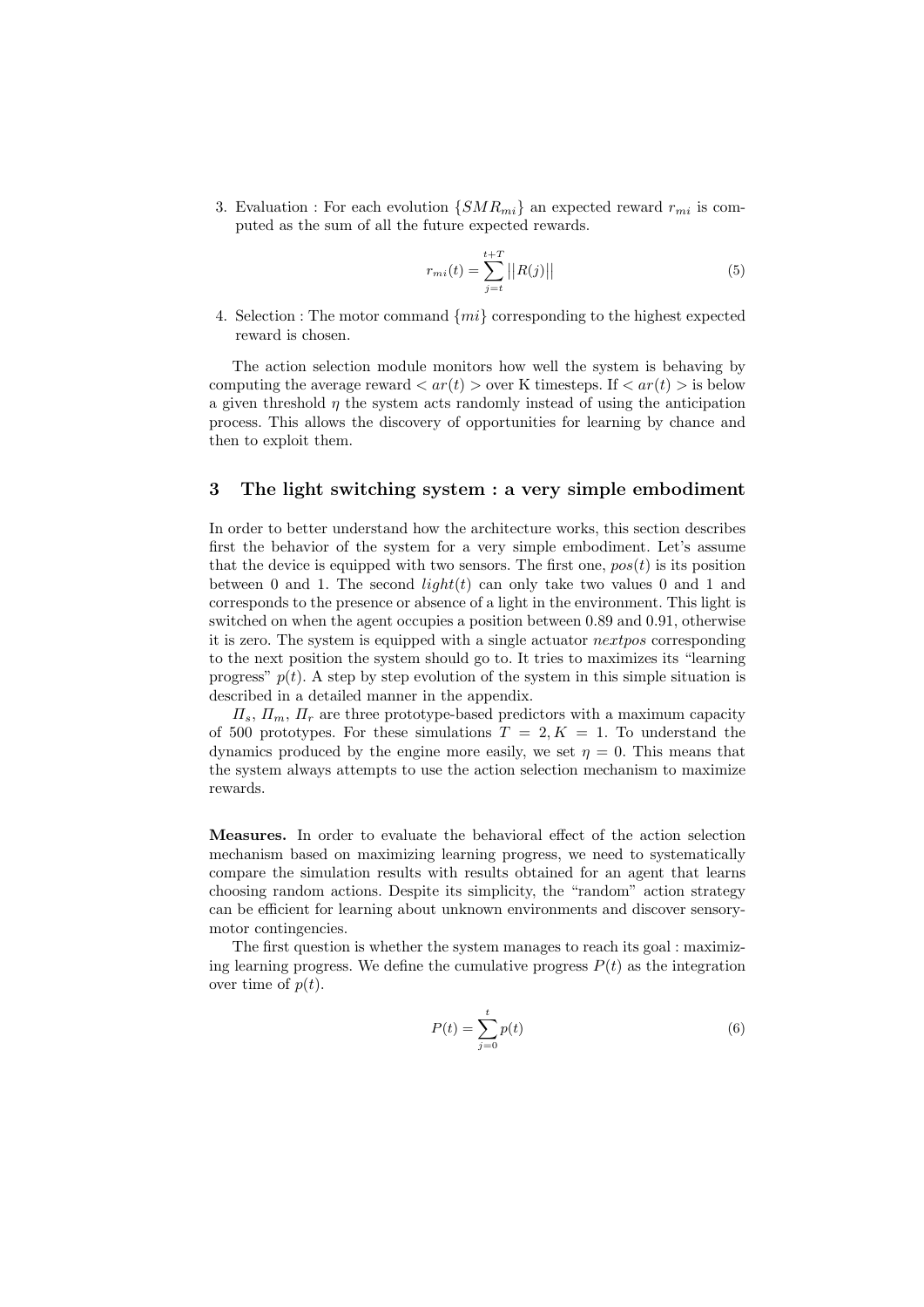3. Evaluation : For each evolution  $\{SMR_{mi}\}\$ an expected reward  $r_{mi}$  is computed as the sum of all the future expected rewards.

$$
r_{mi}(t) = \sum_{j=t}^{t+T} ||R(j)|| \tag{5}
$$

4. Selection : The motor command  $\{mi\}$  corresponding to the highest expected reward is chosen.

The action selection module monitors how well the system is behaving by computing the average reward  $\langle ar(t) \rangle$  over K timesteps. If  $\langle ar(t) \rangle$  is below a given threshold  $\eta$  the system acts randomly instead of using the anticipation process. This allows the discovery of opportunities for learning by chance and then to exploit them.

#### 3 The light switching system : a very simple embodiment

In order to better understand how the architecture works, this section describes first the behavior of the system for a very simple embodiment. Let's assume that the device is equipped with two sensors. The first one,  $pos(t)$  is its position between 0 and 1. The second  $light(t)$  can only take two values 0 and 1 and corresponds to the presence or absence of a light in the environment. This light is switched on when the agent occupies a position between 0.89 and 0.91, otherwise it is zero. The system is equipped with a single actuator nextpos corresponding to the next position the system should go to. It tries to maximizes its "learning progress"  $p(t)$ . A step by step evolution of the system in this simple situation is described in a detailed manner in the appendix.

 $\Pi_s$ ,  $\Pi_m$ ,  $\Pi_r$  are three prototype-based predictors with a maximum capacity of 500 prototypes. For these simulations  $T = 2, K = 1$ . To understand the dynamics produced by the engine more easily, we set  $\eta = 0$ . This means that the system always attempts to use the action selection mechanism to maximize rewards.

Measures. In order to evaluate the behavioral effect of the action selection mechanism based on maximizing learning progress, we need to systematically compare the simulation results with results obtained for an agent that learns choosing random actions. Despite its simplicity, the "random" action strategy can be efficient for learning about unknown environments and discover sensorymotor contingencies.

The first question is whether the system manages to reach its goal : maximizing learning progress. We define the cumulative progress  $P(t)$  as the integration over time of  $p(t)$ .

$$
P(t) = \sum_{j=0}^{t} p(t) \tag{6}
$$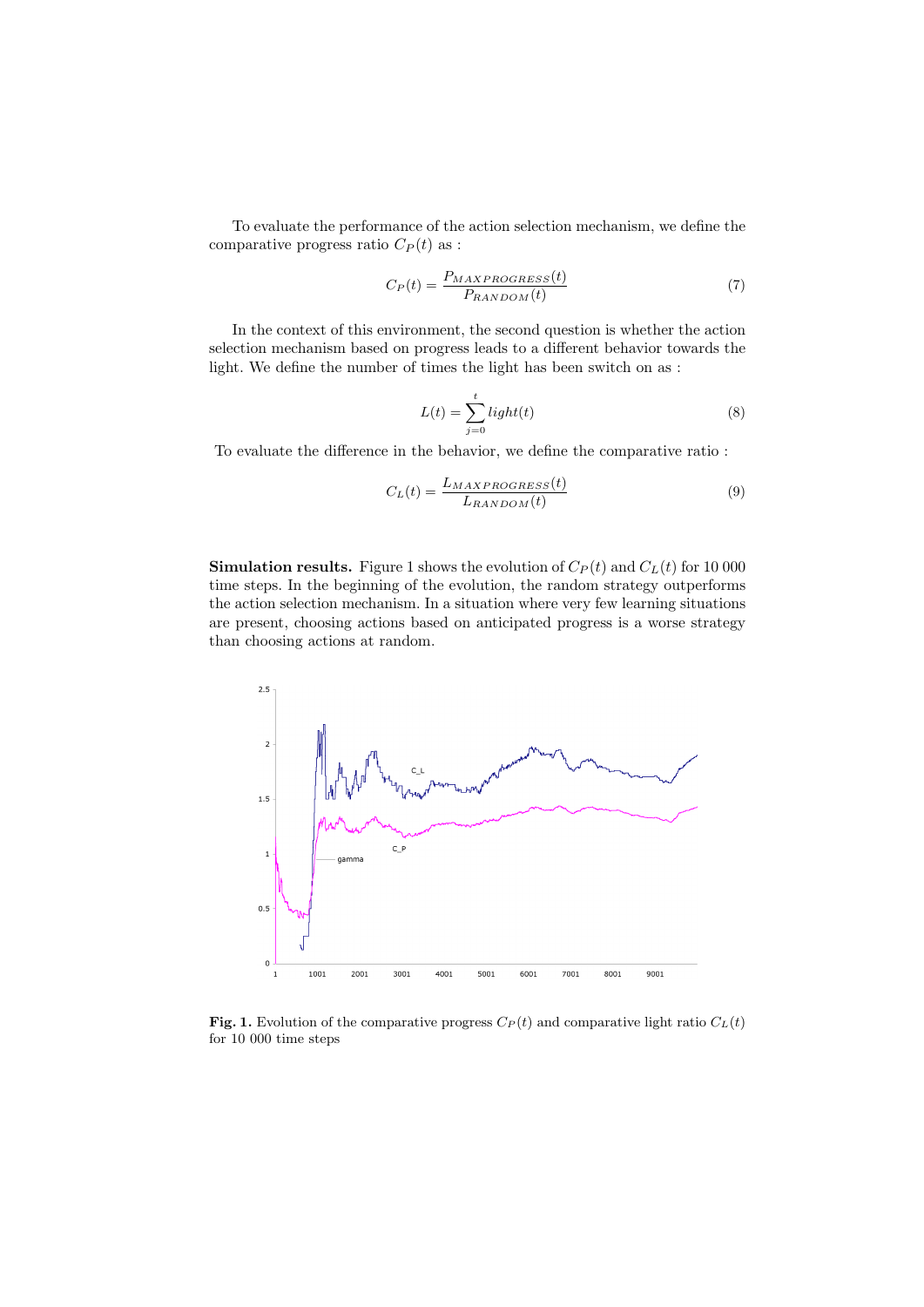To evaluate the performance of the action selection mechanism, we define the comparative progress ratio  $C_P(t)$  as :

$$
C_P(t) = \frac{P_{MAXPROGRESS}(t)}{P_{RANDOM}(t)}\tag{7}
$$

In the context of this environment, the second question is whether the action selection mechanism based on progress leads to a different behavior towards the light. We define the number of times the light has been switch on as :

$$
L(t) = \sum_{j=0}^{t} light(t)
$$
\n(8)

To evaluate the difference in the behavior, we define the comparative ratio :

$$
C_L(t) = \frac{L_{MAYPROGRES}(t)}{L_{RANDOM}(t)}
$$
(9)

**Simulation results.** Figure 1 shows the evolution of  $C_P(t)$  and  $C_L(t)$  for 10 000 time steps. In the beginning of the evolution, the random strategy outperforms the action selection mechanism. In a situation where very few learning situations are present, choosing actions based on anticipated progress is a worse strategy than choosing actions at random.



Fig. 1. Evolution of the comparative progress  $C_P(t)$  and comparative light ratio  $C_L(t)$ for 10 000 time steps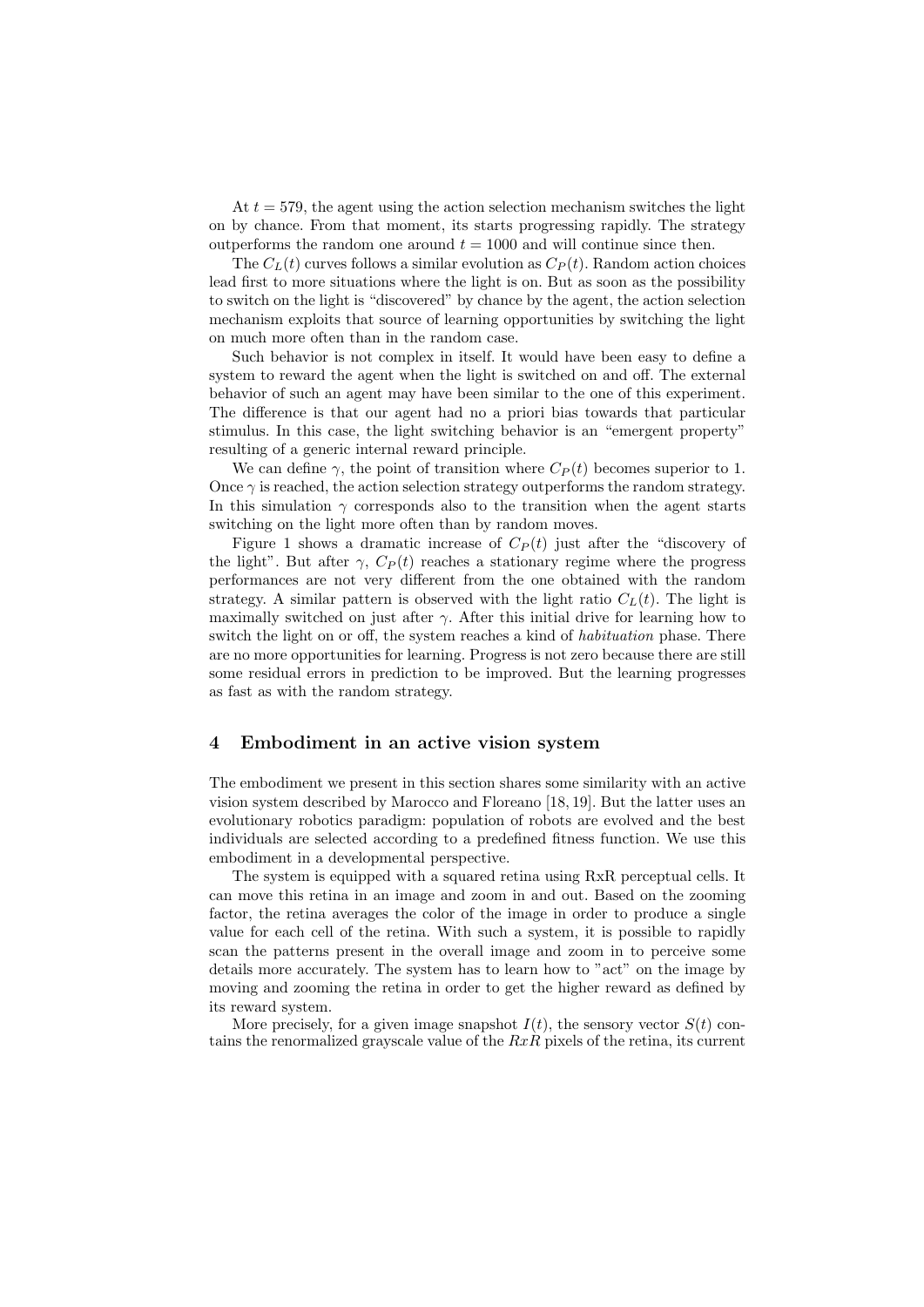At  $t = 579$ , the agent using the action selection mechanism switches the light on by chance. From that moment, its starts progressing rapidly. The strategy outperforms the random one around  $t = 1000$  and will continue since then.

The  $C_L(t)$  curves follows a similar evolution as  $C_P(t)$ . Random action choices lead first to more situations where the light is on. But as soon as the possibility to switch on the light is "discovered" by chance by the agent, the action selection mechanism exploits that source of learning opportunities by switching the light on much more often than in the random case.

Such behavior is not complex in itself. It would have been easy to define a system to reward the agent when the light is switched on and off. The external behavior of such an agent may have been similar to the one of this experiment. The difference is that our agent had no a priori bias towards that particular stimulus. In this case, the light switching behavior is an "emergent property" resulting of a generic internal reward principle.

We can define  $\gamma$ , the point of transition where  $C_P(t)$  becomes superior to 1. Once  $\gamma$  is reached, the action selection strategy outperforms the random strategy. In this simulation  $\gamma$  corresponds also to the transition when the agent starts switching on the light more often than by random moves.

Figure 1 shows a dramatic increase of  $C_P(t)$  just after the "discovery of the light". But after  $\gamma$ ,  $C_P(t)$  reaches a stationary regime where the progress performances are not very different from the one obtained with the random strategy. A similar pattern is observed with the light ratio  $C<sub>L</sub>(t)$ . The light is maximally switched on just after  $\gamma$ . After this initial drive for learning how to switch the light on or off, the system reaches a kind of *habituation* phase. There are no more opportunities for learning. Progress is not zero because there are still some residual errors in prediction to be improved. But the learning progresses as fast as with the random strategy.

#### 4 Embodiment in an active vision system

The embodiment we present in this section shares some similarity with an active vision system described by Marocco and Floreano [18, 19]. But the latter uses an evolutionary robotics paradigm: population of robots are evolved and the best individuals are selected according to a predefined fitness function. We use this embodiment in a developmental perspective.

The system is equipped with a squared retina using RxR perceptual cells. It can move this retina in an image and zoom in and out. Based on the zooming factor, the retina averages the color of the image in order to produce a single value for each cell of the retina. With such a system, it is possible to rapidly scan the patterns present in the overall image and zoom in to perceive some details more accurately. The system has to learn how to "act" on the image by moving and zooming the retina in order to get the higher reward as defined by its reward system.

More precisely, for a given image snapshot  $I(t)$ , the sensory vector  $S(t)$  contains the renormalized grayscale value of the  $RxR$  pixels of the retina, its current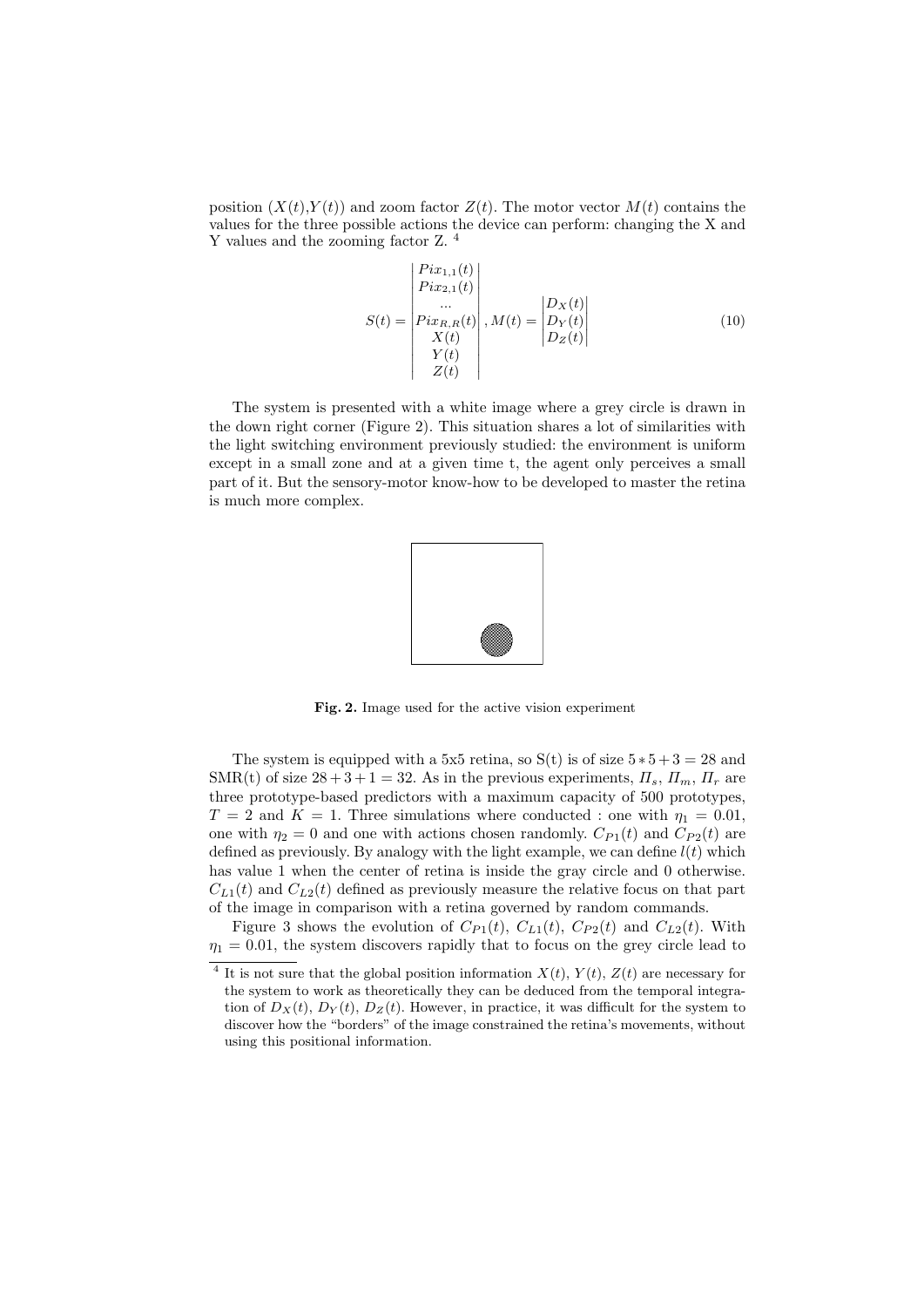position  $(X(t),Y(t))$  and zoom factor  $Z(t)$ . The motor vector  $M(t)$  contains the values for the three possible actions the device can perform: changing the X and Y values and the zooming factor Z. <sup>4</sup>

$$
S(t) = \begin{vmatrix} Pix_{1,1}(t) \\ Pix_{2,1}(t) \\ \dots \\ Pix_{R,R}(t) \\ X(t) \\ Y(t) \\ Z(t) \end{vmatrix}, M(t) = \begin{vmatrix} D_X(t) \\ D_Y(t) \\ D_Z(t) \end{vmatrix}
$$
(10)

The system is presented with a white image where a grey circle is drawn in the down right corner (Figure 2). This situation shares a lot of similarities with the light switching environment previously studied: the environment is uniform except in a small zone and at a given time t, the agent only perceives a small part of it. But the sensory-motor know-how to be developed to master the retina is much more complex.



Fig. 2. Image used for the active vision experiment

The system is equipped with a 5x5 retina, so  $S(t)$  is of size  $5 * 5 + 3 = 28$  and SMR(t) of size  $28 + 3 + 1 = 32$ . As in the previous experiments,  $\Pi_s$ ,  $\Pi_m$ ,  $\Pi_r$  are three prototype-based predictors with a maximum capacity of 500 prototypes,  $T = 2$  and  $K = 1$ . Three simulations where conducted : one with  $\eta_1 = 0.01$ , one with  $\eta_2 = 0$  and one with actions chosen randomly.  $C_{P_1}(t)$  and  $C_{P_2}(t)$  are defined as previously. By analogy with the light example, we can define  $l(t)$  which has value 1 when the center of retina is inside the gray circle and 0 otherwise.  $C_{L1}(t)$  and  $C_{L2}(t)$  defined as previously measure the relative focus on that part of the image in comparison with a retina governed by random commands.

Figure 3 shows the evolution of  $C_{P_1}(t)$ ,  $C_{L_1}(t)$ ,  $C_{P_2}(t)$  and  $C_{L_2}(t)$ . With  $\eta_1 = 0.01$ , the system discovers rapidly that to focus on the grey circle lead to

<sup>&</sup>lt;sup>4</sup> It is not sure that the global position information  $X(t)$ ,  $Y(t)$ ,  $Z(t)$  are necessary for the system to work as theoretically they can be deduced from the temporal integration of  $D_X(t)$ ,  $D_Y(t)$ ,  $D_Z(t)$ . However, in practice, it was difficult for the system to discover how the "borders" of the image constrained the retina's movements, without using this positional information.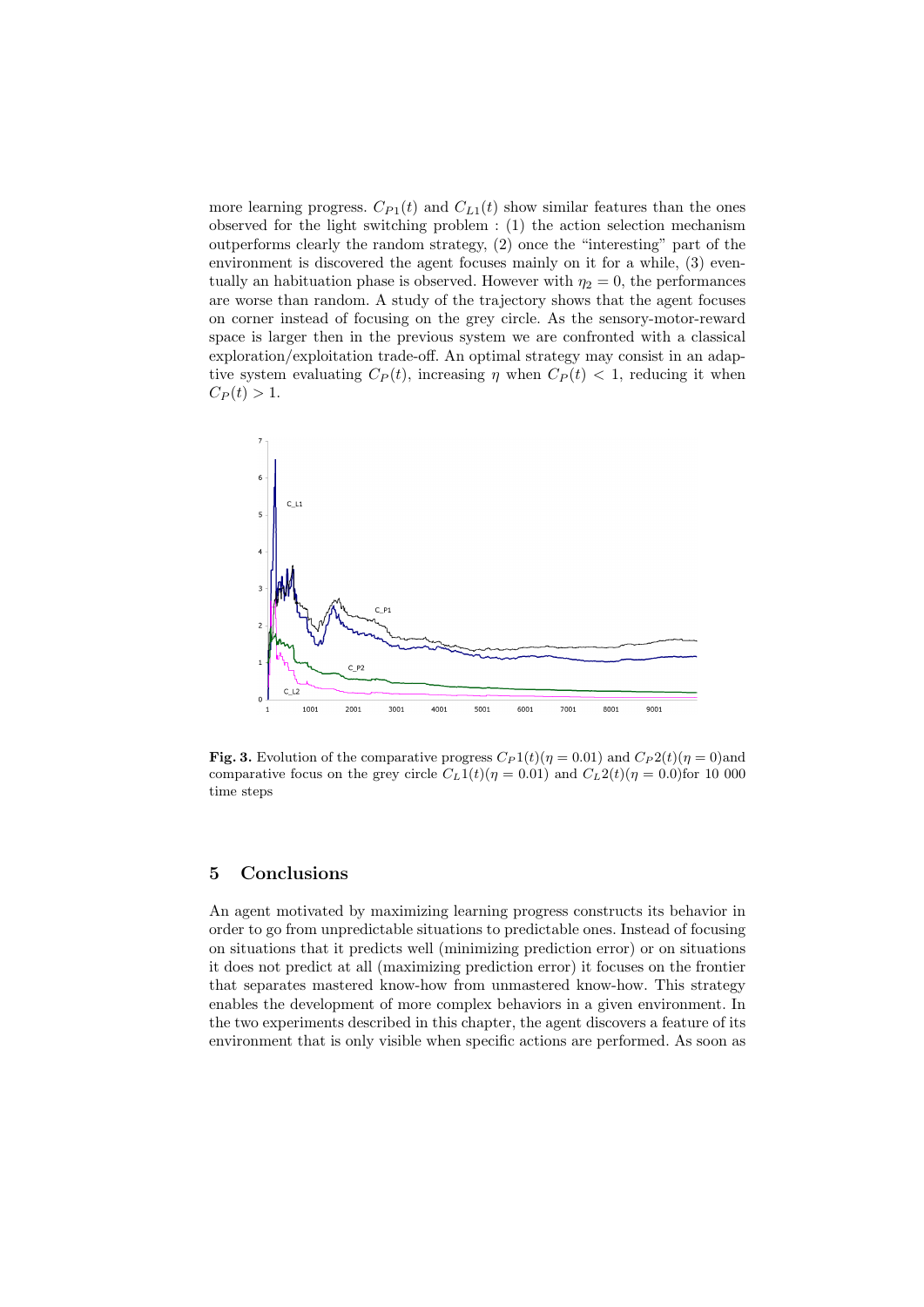more learning progress.  $C_{P_1}(t)$  and  $C_{L_1}(t)$  show similar features than the ones observed for the light switching problem : (1) the action selection mechanism outperforms clearly the random strategy, (2) once the "interesting" part of the environment is discovered the agent focuses mainly on it for a while, (3) eventually an habituation phase is observed. However with  $\eta_2 = 0$ , the performances are worse than random. A study of the trajectory shows that the agent focuses on corner instead of focusing on the grey circle. As the sensory-motor-reward space is larger then in the previous system we are confronted with a classical exploration/exploitation trade-off. An optimal strategy may consist in an adaptive system evaluating  $C_P(t)$ , increasing  $\eta$  when  $C_P(t) < 1$ , reducing it when  $C_P(t) > 1.$ 



Fig. 3. Evolution of the comparative progress  $C_P(1(t)(\eta = 0.01)$  and  $C_P(2(t)(\eta = 0)$ and comparative focus on the grey circle  $C_L(1(t)(\eta = 0.01)$  and  $C_L(2(t)(\eta = 0.0))$  for 10 000 time steps

## 5 Conclusions

An agent motivated by maximizing learning progress constructs its behavior in order to go from unpredictable situations to predictable ones. Instead of focusing on situations that it predicts well (minimizing prediction error) or on situations it does not predict at all (maximizing prediction error) it focuses on the frontier that separates mastered know-how from unmastered know-how. This strategy enables the development of more complex behaviors in a given environment. In the two experiments described in this chapter, the agent discovers a feature of its environment that is only visible when specific actions are performed. As soon as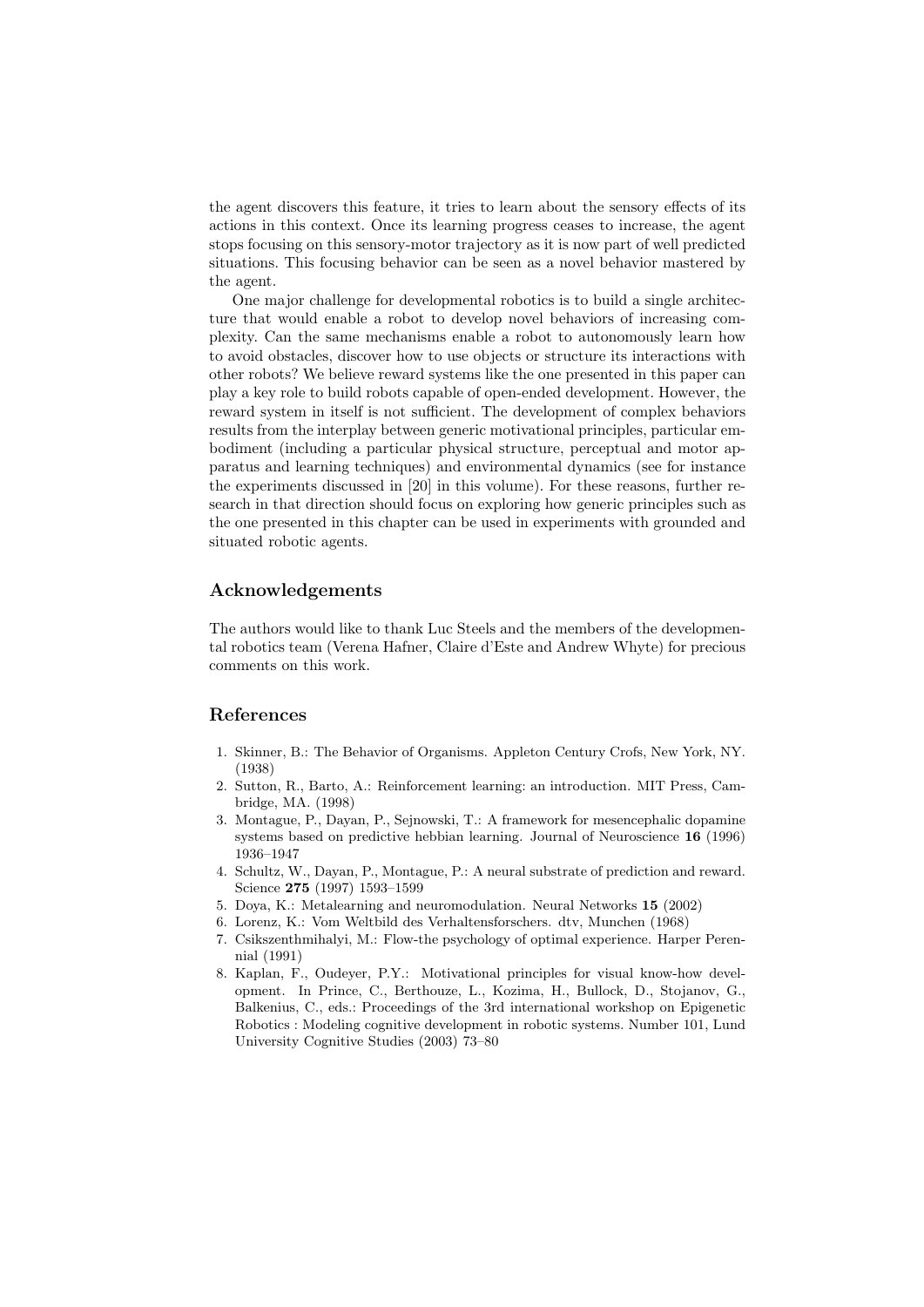the agent discovers this feature, it tries to learn about the sensory effects of its actions in this context. Once its learning progress ceases to increase, the agent stops focusing on this sensory-motor trajectory as it is now part of well predicted situations. This focusing behavior can be seen as a novel behavior mastered by the agent.

One major challenge for developmental robotics is to build a single architecture that would enable a robot to develop novel behaviors of increasing complexity. Can the same mechanisms enable a robot to autonomously learn how to avoid obstacles, discover how to use objects or structure its interactions with other robots? We believe reward systems like the one presented in this paper can play a key role to build robots capable of open-ended development. However, the reward system in itself is not sufficient. The development of complex behaviors results from the interplay between generic motivational principles, particular embodiment (including a particular physical structure, perceptual and motor apparatus and learning techniques) and environmental dynamics (see for instance the experiments discussed in [20] in this volume). For these reasons, further research in that direction should focus on exploring how generic principles such as the one presented in this chapter can be used in experiments with grounded and situated robotic agents.

# Acknowledgements

The authors would like to thank Luc Steels and the members of the developmental robotics team (Verena Hafner, Claire d'Este and Andrew Whyte) for precious comments on this work.

## References

- 1. Skinner, B.: The Behavior of Organisms. Appleton Century Crofs, New York, NY. (1938)
- 2. Sutton, R., Barto, A.: Reinforcement learning: an introduction. MIT Press, Cambridge, MA. (1998)
- 3. Montague, P., Dayan, P., Sejnowski, T.: A framework for mesencephalic dopamine systems based on predictive hebbian learning. Journal of Neuroscience 16 (1996) 1936–1947
- 4. Schultz, W., Dayan, P., Montague, P.: A neural substrate of prediction and reward. Science 275 (1997) 1593–1599
- 5. Doya, K.: Metalearning and neuromodulation. Neural Networks 15 (2002)
- 6. Lorenz, K.: Vom Weltbild des Verhaltensforschers. dtv, Munchen (1968)
- 7. Csikszenthmihalyi, M.: Flow-the psychology of optimal experience. Harper Perennial (1991)
- 8. Kaplan, F., Oudeyer, P.Y.: Motivational principles for visual know-how development. In Prince, C., Berthouze, L., Kozima, H., Bullock, D., Stojanov, G., Balkenius, C., eds.: Proceedings of the 3rd international workshop on Epigenetic Robotics : Modeling cognitive development in robotic systems. Number 101, Lund University Cognitive Studies (2003) 73–80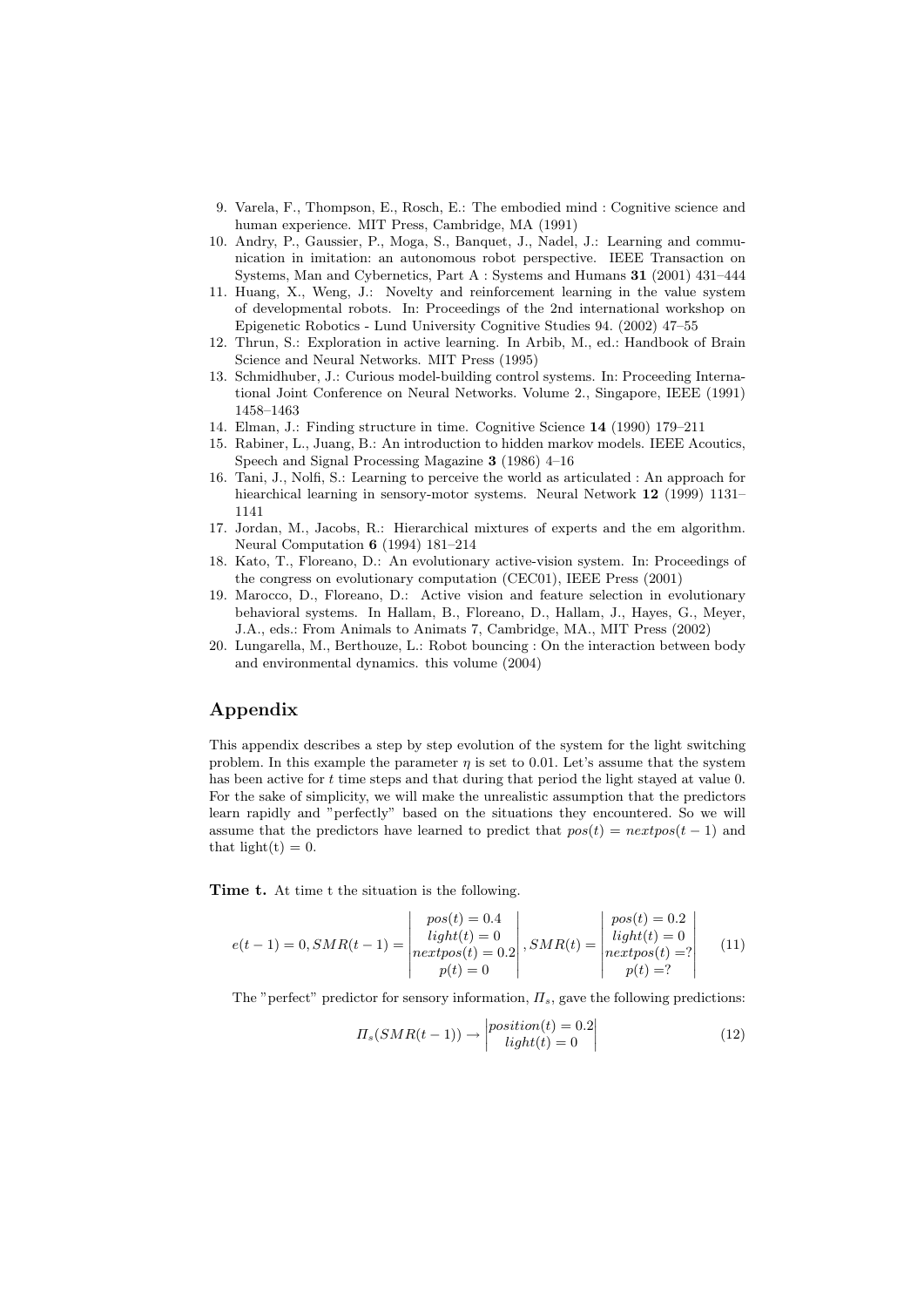- 9. Varela, F., Thompson, E., Rosch, E.: The embodied mind : Cognitive science and human experience. MIT Press, Cambridge, MA (1991)
- 10. Andry, P., Gaussier, P., Moga, S., Banquet, J., Nadel, J.: Learning and communication in imitation: an autonomous robot perspective. IEEE Transaction on Systems, Man and Cybernetics, Part A : Systems and Humans 31 (2001) 431–444
- 11. Huang, X., Weng, J.: Novelty and reinforcement learning in the value system of developmental robots. In: Proceedings of the 2nd international workshop on Epigenetic Robotics - Lund University Cognitive Studies 94. (2002) 47–55
- 12. Thrun, S.: Exploration in active learning. In Arbib, M., ed.: Handbook of Brain Science and Neural Networks. MIT Press (1995)
- 13. Schmidhuber, J.: Curious model-building control systems. In: Proceeding International Joint Conference on Neural Networks. Volume 2., Singapore, IEEE (1991) 1458–1463
- 14. Elman, J.: Finding structure in time. Cognitive Science 14 (1990) 179–211
- 15. Rabiner, L., Juang, B.: An introduction to hidden markov models. IEEE Acoutics, Speech and Signal Processing Magazine 3 (1986) 4–16
- 16. Tani, J., Nolfi, S.: Learning to perceive the world as articulated : An approach for hiearchical learning in sensory-motor systems. Neural Network 12 (1999) 1131– 1141
- 17. Jordan, M., Jacobs, R.: Hierarchical mixtures of experts and the em algorithm. Neural Computation 6 (1994) 181–214
- 18. Kato, T., Floreano, D.: An evolutionary active-vision system. In: Proceedings of the congress on evolutionary computation (CEC01), IEEE Press (2001)
- 19. Marocco, D., Floreano, D.: Active vision and feature selection in evolutionary behavioral systems. In Hallam, B., Floreano, D., Hallam, J., Hayes, G., Meyer, J.A., eds.: From Animals to Animats 7, Cambridge, MA., MIT Press (2002)
- 20. Lungarella, M., Berthouze, L.: Robot bouncing : On the interaction between body and environmental dynamics. this volume (2004)

## Appendix

This appendix describes a step by step evolution of the system for the light switching problem. In this example the parameter  $\eta$  is set to 0.01. Let's assume that the system has been active for t time steps and that during that period the light stayed at value 0. For the sake of simplicity, we will make the unrealistic assumption that the predictors learn rapidly and "perfectly" based on the situations they encountered. So we will assume that the predictors have learned to predict that  $pos(t) = nextpos(t - 1)$  and that light(t) =  $0$ .

Time t. At time t the situation is the following.

$$
e(t-1) = 0, SMR(t-1) = \begin{vmatrix} pos(t) = 0.4 \\ light(t) = 0 \\ nextpos(t) = 0.2 \\ p(t) = 0 \end{vmatrix}, SMR(t) = \begin{vmatrix} pos(t) = 0.2 \\ light(t) = 0 \\ nextpos(t) = ? \\ p(t) = ? \end{vmatrix}
$$
(11)

The "perfect" predictor for sensory information,  $\Pi_s$ , gave the following predictions:

$$
\Pi_s(SMR(t-1)) \to \begin{vmatrix} position(t) = 0.2\\ light(t) = 0 \end{vmatrix}
$$
\n(12)